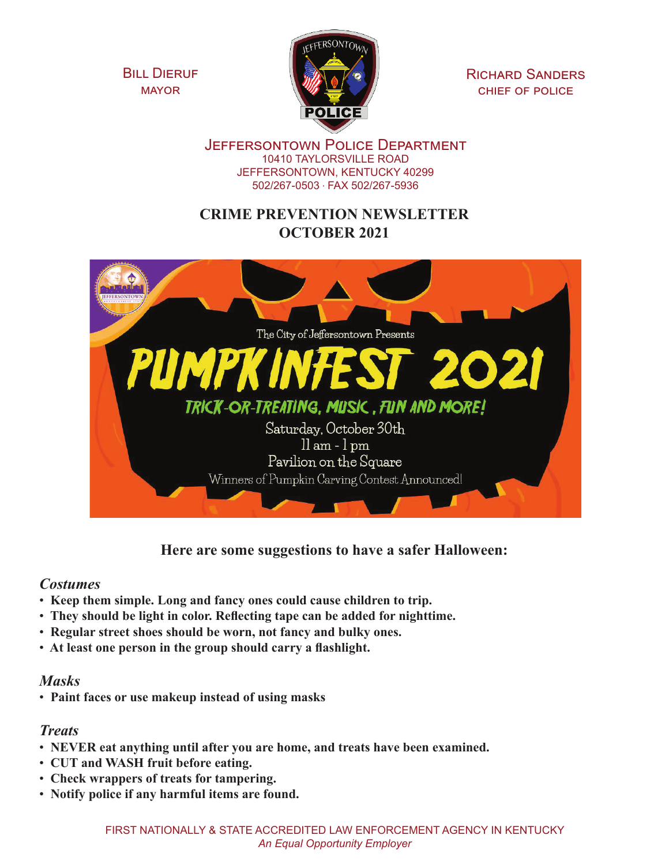**BILL DIERUF** mayor



Richard Sanders chief of police

Jeffersontown Police Department 10410 TAYLORSVILLE ROAD JEFFERSONTOWN, KENTUCKY 40299 502/267-0503 . FAX 502/267-5936

# **CRIME PREVENTION NEWSLETTER OCTOBER 2021**



**Here are some suggestions to have a safer Halloween:**

#### *Costumes*

- • **Keep them simple. Long and fancy ones could cause children to trip.**
- • **They should be light in color. Reflecting tape can be added for nighttime.**
- • **Regular street shoes should be worn, not fancy and bulky ones.**
- • **At least one person in the group should carry a flashlight.**

## *Masks*

• **Paint faces or use makeup instead of using masks**

## *Treats*

- • **NEVER eat anything until after you are home, and treats have been examined.**
- • **CUT and WASH fruit before eating.**
- • **Check wrappers of treats for tampering.**
- • **Notify police if any harmful items are found.**